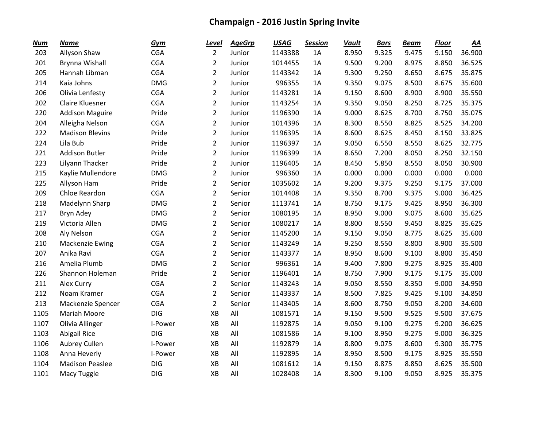| <b>Num</b> | <b>Name</b>            | <b>Gym</b> | <u>Level</u>   | <b>AgeGrp</b> | <b>USAG</b> | <b>Session</b> | <b>Vault</b> | <b>Bars</b> | <b>Beam</b> | <b>Floor</b> | <u>AA</u> |
|------------|------------------------|------------|----------------|---------------|-------------|----------------|--------------|-------------|-------------|--------------|-----------|
| 203        | Allyson Shaw           | <b>CGA</b> | $\overline{2}$ | Junior        | 1143388     | 1A             | 8.950        | 9.325       | 9.475       | 9.150        | 36.900    |
| 201        | <b>Brynna Wishall</b>  | <b>CGA</b> | $\overline{2}$ | Junior        | 1014455     | 1A             | 9.500        | 9.200       | 8.975       | 8.850        | 36.525    |
| 205        | Hannah Libman          | <b>CGA</b> | $\overline{2}$ | Junior        | 1143342     | 1A             | 9.300        | 9.250       | 8.650       | 8.675        | 35.875    |
| 214        | Kaia Johns             | <b>DMG</b> | $\overline{2}$ | Junior        | 996355      | 1A             | 9.350        | 9.075       | 8.500       | 8.675        | 35.600    |
| 206        | Olivia Lenfesty        | <b>CGA</b> | $\overline{2}$ | Junior        | 1143281     | 1A             | 9.150        | 8.600       | 8.900       | 8.900        | 35.550    |
| 202        | Claire Kluesner        | <b>CGA</b> | $\overline{2}$ | Junior        | 1143254     | 1A             | 9.350        | 9.050       | 8.250       | 8.725        | 35.375    |
| 220        | <b>Addison Maguire</b> | Pride      | $\overline{2}$ | Junior        | 1196390     | 1A             | 9.000        | 8.625       | 8.700       | 8.750        | 35.075    |
| 204        | Alleigha Nelson        | <b>CGA</b> | $\overline{2}$ | Junior        | 1014396     | 1A             | 8.300        | 8.550       | 8.825       | 8.525        | 34.200    |
| 222        | <b>Madison Blevins</b> | Pride      | $\overline{2}$ | Junior        | 1196395     | 1A             | 8.600        | 8.625       | 8.450       | 8.150        | 33.825    |
| 224        | Lila Bub               | Pride      | $\overline{2}$ | Junior        | 1196397     | 1A             | 9.050        | 6.550       | 8.550       | 8.625        | 32.775    |
| 221        | <b>Addison Butler</b>  | Pride      | $\overline{2}$ | Junior        | 1196399     | 1A             | 8.650        | 7.200       | 8.050       | 8.250        | 32.150    |
| 223        | Lilyann Thacker        | Pride      | $\overline{2}$ | Junior        | 1196405     | 1A             | 8.450        | 5.850       | 8.550       | 8.050        | 30.900    |
| 215        | Kaylie Mullendore      | <b>DMG</b> | $\overline{2}$ | Junior        | 996360      | 1A             | 0.000        | 0.000       | 0.000       | 0.000        | 0.000     |
| 225        | Allyson Ham            | Pride      | $\overline{2}$ | Senior        | 1035602     | 1A             | 9.200        | 9.375       | 9.250       | 9.175        | 37.000    |
| 209        | <b>Chloe Reardon</b>   | <b>CGA</b> | $\overline{2}$ | Senior        | 1014408     | 1A             | 9.350        | 8.700       | 9.375       | 9.000        | 36.425    |
| 218        | Madelynn Sharp         | <b>DMG</b> | $\overline{2}$ | Senior        | 1113741     | 1A             | 8.750        | 9.175       | 9.425       | 8.950        | 36.300    |
| 217        | Bryn Adey              | <b>DMG</b> | $\overline{2}$ | Senior        | 1080195     | 1A             | 8.950        | 9.000       | 9.075       | 8.600        | 35.625    |
| 219        | Victoria Allen         | <b>DMG</b> | $\overline{2}$ | Senior        | 1080217     | 1A             | 8.800        | 8.550       | 9.450       | 8.825        | 35.625    |
| 208        | Aly Nelson             | <b>CGA</b> | $\overline{2}$ | Senior        | 1145200     | 1A             | 9.150        | 9.050       | 8.775       | 8.625        | 35.600    |
| 210        | <b>Mackenzie Ewing</b> | <b>CGA</b> | $\overline{2}$ | Senior        | 1143249     | 1A             | 9.250        | 8.550       | 8.800       | 8.900        | 35.500    |
| 207        | Anika Ravi             | <b>CGA</b> | $\overline{2}$ | Senior        | 1143377     | 1A             | 8.950        | 8.600       | 9.100       | 8.800        | 35.450    |
| 216        | Amelia Plumb           | <b>DMG</b> | $\overline{2}$ | Senior        | 996361      | 1A             | 9.400        | 7.800       | 9.275       | 8.925        | 35.400    |
| 226        | Shannon Holeman        | Pride      | $\overline{2}$ | Senior        | 1196401     | 1A             | 8.750        | 7.900       | 9.175       | 9.175        | 35.000    |
| 211        | Alex Curry             | <b>CGA</b> | $\overline{2}$ | Senior        | 1143243     | 1A             | 9.050        | 8.550       | 8.350       | 9.000        | 34.950    |
| 212        | Noam Kramer            | <b>CGA</b> | $\overline{2}$ | Senior        | 1143337     | 1A             | 8.500        | 7.825       | 9.425       | 9.100        | 34.850    |
| 213        | Mackenzie Spencer      | <b>CGA</b> | $\overline{2}$ | Senior        | 1143405     | 1A             | 8.600        | 8.750       | 9.050       | 8.200        | 34.600    |
| 1105       | Mariah Moore           | <b>DIG</b> | XB             | All           | 1081571     | 1A             | 9.150        | 9.500       | 9.525       | 9.500        | 37.675    |
| 1107       | Olivia Allinger        | I-Power    | XB             | All           | 1192875     | 1A             | 9.050        | 9.100       | 9.275       | 9.200        | 36.625    |
| 1103       | <b>Abigail Rice</b>    | <b>DIG</b> | XB             | All           | 1081586     | 1A             | 9.100        | 8.950       | 9.275       | 9.000        | 36.325    |
| 1106       | Aubrey Cullen          | I-Power    | XB             | All           | 1192879     | 1A             | 8.800        | 9.075       | 8.600       | 9.300        | 35.775    |
| 1108       | Anna Heverly           | I-Power    | XB             | All           | 1192895     | 1A             | 8.950        | 8.500       | 9.175       | 8.925        | 35.550    |
| 1104       | <b>Madison Peaslee</b> | <b>DIG</b> | XB             | All           | 1081612     | 1A             | 9.150        | 8.875       | 8.850       | 8.625        | 35.500    |
| 1101       | Macy Tuggle            | <b>DIG</b> | XB             | All           | 1028408     | 1A             | 8.300        | 9.100       | 9.050       | 8.925        | 35.375    |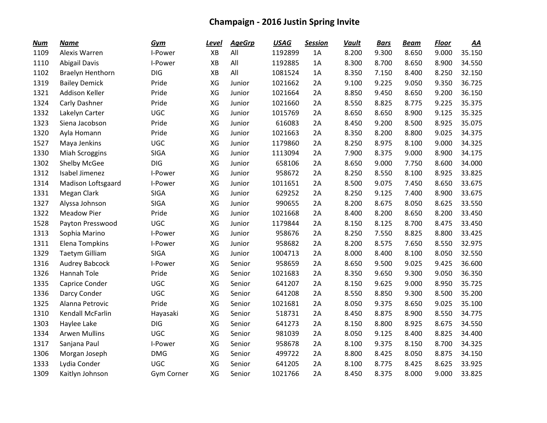| <b>Num</b> | <b>Name</b>             | Gym         | <u>Level</u> | <b>AgeGrp</b> | <b>USAG</b> | <b>Session</b> | <b>Vault</b> | <b>Bars</b> | <b>Beam</b> | <b>Floor</b> | <u>AA</u> |
|------------|-------------------------|-------------|--------------|---------------|-------------|----------------|--------------|-------------|-------------|--------------|-----------|
| 1109       | Alexis Warren           | I-Power     | XB           | All           | 1192899     | 1A             | 8.200        | 9.300       | 8.650       | 9.000        | 35.150    |
| 1110       | <b>Abigail Davis</b>    | I-Power     | XB           | All           | 1192885     | 1A             | 8.300        | 8.700       | 8.650       | 8.900        | 34.550    |
| 1102       | <b>Braelyn Henthorn</b> | <b>DIG</b>  | XB           | All           | 1081524     | 1A             | 8.350        | 7.150       | 8.400       | 8.250        | 32.150    |
| 1319       | <b>Bailey Demick</b>    | Pride       | XG           | Junior        | 1021662     | 2A             | 9.100        | 9.225       | 9.050       | 9.350        | 36.725    |
| 1321       | <b>Addison Keller</b>   | Pride       | XG           | Junior        | 1021664     | 2A             | 8.850        | 9.450       | 8.650       | 9.200        | 36.150    |
| 1324       | Carly Dashner           | Pride       | XG           | Junior        | 1021660     | 2A             | 8.550        | 8.825       | 8.775       | 9.225        | 35.375    |
| 1332       | Lakelyn Carter          | <b>UGC</b>  | XG           | Junior        | 1015769     | 2A             | 8.650        | 8.650       | 8.900       | 9.125        | 35.325    |
| 1323       | Siena Jacobson          | Pride       | XG           | Junior        | 616083      | 2A             | 8.450        | 9.200       | 8.500       | 8.925        | 35.075    |
| 1320       | Ayla Homann             | Pride       | XG           | Junior        | 1021663     | 2A             | 8.350        | 8.200       | 8.800       | 9.025        | 34.375    |
| 1527       | Maya Jenkins            | <b>UGC</b>  | XG           | Junior        | 1179860     | 2A             | 8.250        | 8.975       | 8.100       | 9.000        | 34.325    |
| 1330       | <b>Miah Scroggins</b>   | <b>SIGA</b> | XG           | Junior        | 1113094     | 2A             | 7.900        | 8.375       | 9.000       | 8.900        | 34.175    |
| 1302       | Shelby McGee            | <b>DIG</b>  | XG           | Junior        | 658106      | 2A             | 8.650        | 9.000       | 7.750       | 8.600        | 34.000    |
| 1312       | Isabel Jimenez          | I-Power     | XG           | Junior        | 958672      | 2A             | 8.250        | 8.550       | 8.100       | 8.925        | 33.825    |
| 1314       | Madison Loftsgaard      | I-Power     | XG           | Junior        | 1011651     | 2A             | 8.500        | 9.075       | 7.450       | 8.650        | 33.675    |
| 1331       | Megan Clark             | <b>SIGA</b> | XG           | Junior        | 629252      | 2A             | 8.250        | 9.125       | 7.400       | 8.900        | 33.675    |
| 1327       | Alyssa Johnson          | <b>SIGA</b> | XG           | Junior        | 990655      | 2A             | 8.200        | 8.675       | 8.050       | 8.625        | 33.550    |
| 1322       | <b>Meadow Pier</b>      | Pride       | XG           | Junior        | 1021668     | 2A             | 8.400        | 8.200       | 8.650       | 8.200        | 33.450    |
| 1528       | Payton Presswood        | <b>UGC</b>  | XG           | Junior        | 1179844     | 2A             | 8.150        | 8.125       | 8.700       | 8.475        | 33.450    |
| 1313       | Sophia Marino           | I-Power     | XG           | Junior        | 958676      | 2A             | 8.250        | 7.550       | 8.825       | 8.800        | 33.425    |
| 1311       | Elena Tompkins          | I-Power     | XG           | Junior        | 958682      | 2A             | 8.200        | 8.575       | 7.650       | 8.550        | 32.975    |
| 1329       | <b>Taetym Gilliam</b>   | <b>SIGA</b> | XG           | Junior        | 1004713     | 2A             | 8.000        | 8.400       | 8.100       | 8.050        | 32.550    |
| 1316       | Audrey Babcock          | I-Power     | XG           | Senior        | 958659      | 2A             | 8.650        | 9.500       | 9.025       | 9.425        | 36.600    |
| 1326       | Hannah Tole             | Pride       | XG           | Senior        | 1021683     | 2A             | 8.350        | 9.650       | 9.300       | 9.050        | 36.350    |
| 1335       | Caprice Conder          | UGC         | XG           | Senior        | 641207      | 2A             | 8.150        | 9.625       | 9.000       | 8.950        | 35.725    |
| 1336       | Darcy Conder            | <b>UGC</b>  | XG           | Senior        | 641208      | 2A             | 8.550        | 8.850       | 9.300       | 8.500        | 35.200    |
| 1325       | Alanna Petrovic         | Pride       | XG           | Senior        | 1021681     | 2A             | 8.050        | 9.375       | 8.650       | 9.025        | 35.100    |
| 1310       | Kendall McFarlin        | Hayasaki    | XG           | Senior        | 518731      | 2A             | 8.450        | 8.875       | 8.900       | 8.550        | 34.775    |
| 1303       | Haylee Lake             | <b>DIG</b>  | XG           | Senior        | 641273      | 2A             | 8.150        | 8.800       | 8.925       | 8.675        | 34.550    |
| 1334       | <b>Arwen Mullins</b>    | <b>UGC</b>  | XG           | Senior        | 981039      | 2A             | 8.050        | 9.125       | 8.400       | 8.825        | 34.400    |
| 1317       | Sanjana Paul            | I-Power     | XG           | Senior        | 958678      | 2A             | 8.100        | 9.375       | 8.150       | 8.700        | 34.325    |
| 1306       | Morgan Joseph           | <b>DMG</b>  | XG           | Senior        | 499722      | 2A             | 8.800        | 8.425       | 8.050       | 8.875        | 34.150    |
| 1333       | Lydia Conder            | <b>UGC</b>  | XG           | Senior        | 641205      | 2A             | 8.100        | 8.775       | 8.425       | 8.625        | 33.925    |
| 1309       | Kaitlyn Johnson         | Gym Corner  | XG           | Senior        | 1021766     | 2A             | 8.450        | 8.375       | 8.000       | 9.000        | 33.825    |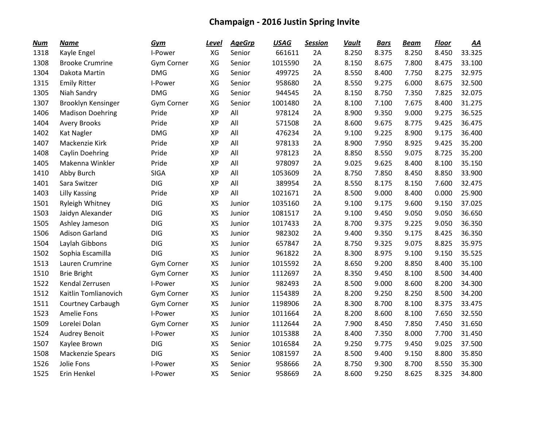| <b>Num</b> | <b>Name</b>             | Gym         | <u>Level</u> | <b>AgeGrp</b> | <b>USAG</b> | <b>Session</b> | <b>Vault</b> | <b>Bars</b> | <b>Beam</b> | <b>Floor</b> | <u>AA</u> |
|------------|-------------------------|-------------|--------------|---------------|-------------|----------------|--------------|-------------|-------------|--------------|-----------|
| 1318       | Kayle Engel             | I-Power     | XG           | Senior        | 661611      | 2A             | 8.250        | 8.375       | 8.250       | 8.450        | 33.325    |
| 1308       | <b>Brooke Crumrine</b>  | Gym Corner  | XG           | Senior        | 1015590     | 2A             | 8.150        | 8.675       | 7.800       | 8.475        | 33.100    |
| 1304       | Dakota Martin           | <b>DMG</b>  | XG           | Senior        | 499725      | 2A             | 8.550        | 8.400       | 7.750       | 8.275        | 32.975    |
| 1315       | <b>Emily Ritter</b>     | I-Power     | XG           | Senior        | 958680      | 2A             | 8.550        | 9.275       | 6.000       | 8.675        | 32.500    |
| 1305       | Niah Sandry             | <b>DMG</b>  | XG           | Senior        | 944545      | 2A             | 8.150        | 8.750       | 7.350       | 7.825        | 32.075    |
| 1307       | Brooklyn Kensinger      | Gym Corner  | XG           | Senior        | 1001480     | 2A             | 8.100        | 7.100       | 7.675       | 8.400        | 31.275    |
| 1406       | <b>Madison Doehring</b> | Pride       | <b>XP</b>    | All           | 978124      | 2A             | 8.900        | 9.350       | 9.000       | 9.275        | 36.525    |
| 1404       | <b>Avery Brooks</b>     | Pride       | XP           | All           | 571508      | 2A             | 8.600        | 9.675       | 8.775       | 9.425        | 36.475    |
| 1402       | <b>Kat Nagler</b>       | <b>DMG</b>  | <b>XP</b>    | All           | 476234      | 2A             | 9.100        | 9.225       | 8.900       | 9.175        | 36.400    |
| 1407       | Mackenzie Kirk          | Pride       | XP           | All           | 978133      | 2A             | 8.900        | 7.950       | 8.925       | 9.425        | 35.200    |
| 1408       | Caylin Doehring         | Pride       | <b>XP</b>    | All           | 978123      | 2A             | 8.850        | 8.550       | 9.075       | 8.725        | 35.200    |
| 1405       | Makenna Winkler         | Pride       | <b>XP</b>    | All           | 978097      | 2A             | 9.025        | 9.625       | 8.400       | 8.100        | 35.150    |
| 1410       | Abby Burch              | <b>SIGA</b> | <b>XP</b>    | All           | 1053609     | 2A             | 8.750        | 7.850       | 8.450       | 8.850        | 33.900    |
| 1401       | Sara Switzer            | <b>DIG</b>  | XP           | All           | 389954      | 2A             | 8.550        | 8.175       | 8.150       | 7.600        | 32.475    |
| 1403       | <b>Lilly Kassing</b>    | Pride       | XP           | All           | 1021671     | 2A             | 8.500        | 9.000       | 8.400       | 0.000        | 25.900    |
| 1501       | Ryleigh Whitney         | <b>DIG</b>  | <b>XS</b>    | Junior        | 1035160     | 2A             | 9.100        | 9.175       | 9.600       | 9.150        | 37.025    |
| 1503       | Jaidyn Alexander        | <b>DIG</b>  | <b>XS</b>    | Junior        | 1081517     | 2A             | 9.100        | 9.450       | 9.050       | 9.050        | 36.650    |
| 1505       | Ashley Jameson          | <b>DIG</b>  | <b>XS</b>    | Junior        | 1017433     | 2A             | 8.700        | 9.375       | 9.225       | 9.050        | 36.350    |
| 1506       | <b>Adison Garland</b>   | <b>DIG</b>  | XS           | Junior        | 982302      | 2A             | 9.400        | 9.350       | 9.175       | 8.425        | 36.350    |
| 1504       | Laylah Gibbons          | <b>DIG</b>  | XS           | Junior        | 657847      | 2A             | 8.750        | 9.325       | 9.075       | 8.825        | 35.975    |
| 1502       | Sophia Escamilla        | <b>DIG</b>  | <b>XS</b>    | Junior        | 961822      | 2A             | 8.300        | 8.975       | 9.100       | 9.150        | 35.525    |
| 1513       | Lauren Crumrine         | Gym Corner  | XS           | Junior        | 1015592     | 2A             | 8.650        | 9.200       | 8.850       | 8.400        | 35.100    |
| 1510       | <b>Brie Bright</b>      | Gym Corner  | <b>XS</b>    | Junior        | 1112697     | 2A             | 8.350        | 9.450       | 8.100       | 8.500        | 34.400    |
| 1522       | Kendal Zerrusen         | I-Power     | XS           | Junior        | 982493      | 2A             | 8.500        | 9.000       | 8.600       | 8.200        | 34.300    |
| 1512       | Kaitlin Tomlianovich    | Gym Corner  | XS           | Junior        | 1154389     | 2A             | 8.200        | 9.250       | 8.250       | 8.500        | 34.200    |
| 1511       | Courtney Carbaugh       | Gym Corner  | XS           | Junior        | 1198906     | 2A             | 8.300        | 8.700       | 8.100       | 8.375        | 33.475    |
| 1523       | Amelie Fons             | I-Power     | <b>XS</b>    | Junior        | 1011664     | 2A             | 8.200        | 8.600       | 8.100       | 7.650        | 32.550    |
| 1509       | Lorelei Dolan           | Gym Corner  | <b>XS</b>    | Junior        | 1112644     | 2A             | 7.900        | 8.450       | 7.850       | 7.450        | 31.650    |
| 1524       | <b>Audrey Benoit</b>    | I-Power     | XS           | Junior        | 1015388     | 2A             | 8.400        | 7.350       | 8.000       | 7.700        | 31.450    |
| 1507       | Kaylee Brown            | <b>DIG</b>  | XS           | Senior        | 1016584     | 2A             | 9.250        | 9.775       | 9.450       | 9.025        | 37.500    |
| 1508       | Mackenzie Spears        | <b>DIG</b>  | <b>XS</b>    | Senior        | 1081597     | 2A             | 8.500        | 9.400       | 9.150       | 8.800        | 35.850    |
| 1526       | Jolie Fons              | I-Power     | XS           | Senior        | 958666      | 2A             | 8.750        | 9.300       | 8.700       | 8.550        | 35.300    |
| 1525       | Erin Henkel             | I-Power     | <b>XS</b>    | Senior        | 958669      | 2A             | 8.600        | 9.250       | 8.625       | 8.325        | 34.800    |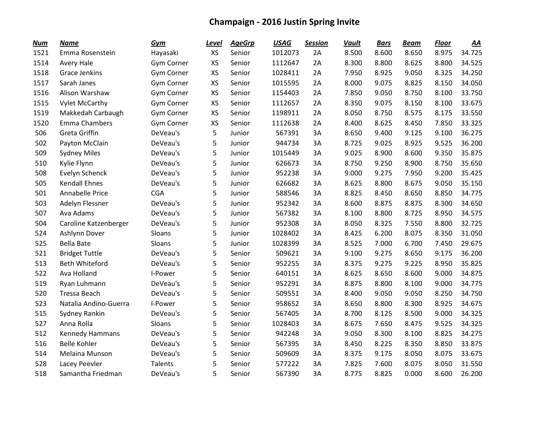| <b>Num</b> | <b>Name</b>            | Gym               | <u>Level</u> | <b>AgeGrp</b> | <b>USAG</b> | <b>Session</b> | <b>Vault</b> | <b>Bars</b> | <b>Beam</b> | <b>Floor</b> | <u>AA</u> |
|------------|------------------------|-------------------|--------------|---------------|-------------|----------------|--------------|-------------|-------------|--------------|-----------|
| 1521       | Emma Rosenstein        | Hayasaki          | <b>XS</b>    | Senior        | 1012073     | 2A             | 8.500        | 8.600       | 8.650       | 8.975        | 34.725    |
| 1514       | Avery Hale             | <b>Gym Corner</b> | XS           | Senior        | 1112647     | 2A             | 8.300        | 8.800       | 8.625       | 8.800        | 34.525    |
| 1518       | <b>Grace Jenkins</b>   | Gym Corner        | <b>XS</b>    | Senior        | 1028411     | 2A             | 7.950        | 8.925       | 9.050       | 8.325        | 34.250    |
| 1517       | Sarah Janes            | Gym Corner        | XS           | Senior        | 1015595     | 2A             | 8.000        | 9.075       | 8.825       | 8.150        | 34.050    |
| 1516       | Alison Warshaw         | Gym Corner        | XS           | Senior        | 1154403     | 2A             | 7.850        | 9.050       | 8.750       | 8.100        | 33.750    |
| 1515       | <b>Vylet McCarthy</b>  | Gym Corner        | XS           | Senior        | 1112657     | 2A             | 8.350        | 9.075       | 8.150       | 8.100        | 33.675    |
| 1519       | Makkedah Carbaugh      | Gym Corner        | XS           | Senior        | 1198911     | 2A             | 8.050        | 8.750       | 8.575       | 8.175        | 33.550    |
| 1520       | Emma Chambers          | Gym Corner        | XS           | Senior        | 1112638     | 2A             | 8.400        | 8.625       | 8.450       | 7.850        | 33.325    |
| 506        | Greta Griffin          | DeVeau's          | 5            | Junior        | 567391      | 3A             | 8.650        | 9.400       | 9.125       | 9.100        | 36.275    |
| 502        | Payton McClain         | DeVeau's          | 5            | Junior        | 944734      | 3A             | 8.725        | 9.025       | 8.925       | 9.525        | 36.200    |
| 509        | <b>Sydney Miles</b>    | DeVeau's          | 5            | Junior        | 1015449     | 3A             | 9.025        | 8.900       | 8.600       | 9.350        | 35.875    |
| 510        | Kylie Flynn            | DeVeau's          | 5            | Junior        | 626673      | 3A             | 8.750        | 9.250       | 8.900       | 8.750        | 35.650    |
| 508        | Evelyn Schenck         | DeVeau's          | 5            | Junior        | 952238      | 3A             | 9.000        | 9.275       | 7.950       | 9.200        | 35.425    |
| 505        | <b>Kendall Ehnes</b>   | DeVeau's          | 5            | Junior        | 626682      | 3A             | 8.625        | 8.800       | 8.675       | 9.050        | 35.150    |
| 501        | Annabelle Price        | <b>CGA</b>        | 5            | Junior        | 588546      | 3A             | 8.825        | 8.450       | 8.650       | 8.850        | 34.775    |
| 503        | Adelyn Flessner        | DeVeau's          | 5            | Junior        | 952342      | 3A             | 8.600        | 8.875       | 8.875       | 8.300        | 34.650    |
| 507        | Ava Adams              | DeVeau's          | 5            | Junior        | 567382      | 3A             | 8.100        | 8.800       | 8.725       | 8.950        | 34.575    |
| 504        | Caroline Katzenberger  | DeVeau's          | 5            | Junior        | 952308      | 3A             | 8.050        | 8.325       | 7.550       | 8.800        | 32.725    |
| 524        | Ashlynn Dover          | Sloans            | 5            | Junior        | 1028402     | 3A             | 8.425        | 6.200       | 8.075       | 8.350        | 31.050    |
| 525        | <b>Bella Bate</b>      | Sloans            | 5            | Junior        | 1028399     | 3A             | 8.525        | 7.000       | 6.700       | 7.450        | 29.675    |
| 521        | <b>Bridget Tuttle</b>  | DeVeau's          | 5            | Senior        | 509621      | 3A             | 9.100        | 9.275       | 8.650       | 9.175        | 36.200    |
| 513        | <b>Beth Whiteford</b>  | DeVeau's          | 5            | Senior        | 952255      | 3A             | 8.375        | 9.275       | 9.225       | 8.950        | 35.825    |
| 522        | Ava Holland            | I-Power           | 5            | Senior        | 640151      | 3A             | 8.625        | 8.650       | 8.600       | 9.000        | 34.875    |
| 519        | Ryan Luhmann           | DeVeau's          | 5            | Senior        | 952291      | 3A             | 8.875        | 8.800       | 8.100       | 9.000        | 34.775    |
| 520        | <b>Tressa Beach</b>    | DeVeau's          | 5            | Senior        | 509551      | 3A             | 8.400        | 9.050       | 9.050       | 8.250        | 34.750    |
| 523        | Natalia Andino-Guerra  | I-Power           | 5            | Senior        | 958652      | 3A             | 8.650        | 8.800       | 8.300       | 8.925        | 34.675    |
| 515        | Sydney Rankin          | DeVeau's          | 5            | Senior        | 567405      | 3A             | 8.700        | 8.125       | 8.500       | 9.000        | 34.325    |
| 527        | Anna Rolla             | Sloans            | 5            | Senior        | 1028403     | 3A             | 8.675        | 7.650       | 8.475       | 9.525        | 34.325    |
| 512        | <b>Kennedy Hammans</b> | DeVeau's          | 5            | Senior        | 942248      | 3A             | 9.050        | 8.300       | 8.100       | 8.825        | 34.275    |
| 516        | <b>Belle Kohler</b>    | DeVeau's          | 5            | Senior        | 567395      | 3A             | 8.450        | 8.225       | 8.350       | 8.850        | 33.875    |
| 514        | Melaina Munson         | DeVeau's          | 5            | Senior        | 509609      | 3A             | 8.375        | 9.175       | 8.050       | 8.075        | 33.675    |
| 528        | Lacey Peevler          | Talents           | 5            | Senior        | 577222      | 3A             | 7.825        | 7.600       | 8.075       | 8.050        | 31.550    |
| 518        | Samantha Friedman      | DeVeau's          | 5            | Senior        | 567390      | 3A             | 8.775        | 8.825       | 0.000       | 8.600        | 26.200    |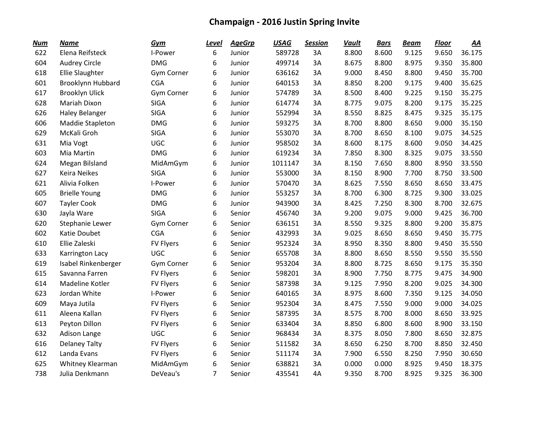| <b>Num</b> | <b>Name</b>              | Gym              | <u>Level</u>   | <b>AgeGrp</b> | <b>USAG</b> | <b>Session</b> | <b>Vault</b> | <b>Bars</b> | <b>Beam</b> | <b>Floor</b> | <u>AA</u> |
|------------|--------------------------|------------------|----------------|---------------|-------------|----------------|--------------|-------------|-------------|--------------|-----------|
| 622        | Elena Reifsteck          | I-Power          | 6              | Junior        | 589728      | 3A             | 8.800        | 8.600       | 9.125       | 9.650        | 36.175    |
| 604        | <b>Audrey Circle</b>     | <b>DMG</b>       | 6              | Junior        | 499714      | 3A             | 8.675        | 8.800       | 8.975       | 9.350        | 35.800    |
| 618        | <b>Ellie Slaughter</b>   | Gym Corner       | 6              | Junior        | 636162      | 3A             | 9.000        | 8.450       | 8.800       | 9.450        | 35.700    |
| 601        | <b>Brooklynn Hubbard</b> | <b>CGA</b>       | 6              | Junior        | 640153      | 3A             | 8.850        | 8.200       | 9.175       | 9.400        | 35.625    |
| 617        | <b>Brooklyn Ulick</b>    | Gym Corner       | 6              | Junior        | 574789      | 3A             | 8.500        | 8.400       | 9.225       | 9.150        | 35.275    |
| 628        | Mariah Dixon             | <b>SIGA</b>      | 6              | Junior        | 614774      | 3A             | 8.775        | 9.075       | 8.200       | 9.175        | 35.225    |
| 626        | <b>Haley Belanger</b>    | <b>SIGA</b>      | 6              | Junior        | 552994      | 3A             | 8.550        | 8.825       | 8.475       | 9.325        | 35.175    |
| 606        | Maddie Stapleton         | <b>DMG</b>       | 6              | Junior        | 593275      | 3A             | 8.700        | 8.800       | 8.650       | 9.000        | 35.150    |
| 629        | McKali Groh              | <b>SIGA</b>      | 6              | Junior        | 553070      | 3A             | 8.700        | 8.650       | 8.100       | 9.075        | 34.525    |
| 631        | Mia Vogt                 | <b>UGC</b>       | 6              | Junior        | 958502      | 3A             | 8.600        | 8.175       | 8.600       | 9.050        | 34.425    |
| 603        | Mia Martin               | <b>DMG</b>       | 6              | Junior        | 619234      | 3A             | 7.850        | 8.300       | 8.325       | 9.075        | 33.550    |
| 624        | Megan Bilsland           | MidAmGym         | 6              | Junior        | 1011147     | 3A             | 8.150        | 7.650       | 8.800       | 8.950        | 33.550    |
| 627        | <b>Keira Neikes</b>      | <b>SIGA</b>      | 6              | Junior        | 553000      | 3A             | 8.150        | 8.900       | 7.700       | 8.750        | 33.500    |
| 621        | Alivia Folken            | I-Power          | 6              | Junior        | 570470      | 3A             | 8.625        | 7.550       | 8.650       | 8.650        | 33.475    |
| 605        | <b>Brielle Young</b>     | <b>DMG</b>       | 6              | Junior        | 553257      | 3A             | 8.700        | 6.300       | 8.725       | 9.300        | 33.025    |
| 607        | <b>Tayler Cook</b>       | <b>DMG</b>       | 6              | Junior        | 943900      | 3A             | 8.425        | 7.250       | 8.300       | 8.700        | 32.675    |
| 630        | Jayla Ware               | <b>SIGA</b>      | 6              | Senior        | 456740      | 3A             | 9.200        | 9.075       | 9.000       | 9.425        | 36.700    |
| 620        | Stephanie Lewer          | Gym Corner       | 6              | Senior        | 636151      | 3A             | 8.550        | 9.325       | 8.800       | 9.200        | 35.875    |
| 602        | Katie Doubet             | <b>CGA</b>       | 6              | Senior        | 432993      | 3A             | 9.025        | 8.650       | 8.650       | 9.450        | 35.775    |
| 610        | Ellie Zaleski            | <b>FV Flyers</b> | 6              | Senior        | 952324      | 3A             | 8.950        | 8.350       | 8.800       | 9.450        | 35.550    |
| 633        | Karrington Lacy          | <b>UGC</b>       | 6              | Senior        | 655708      | 3A             | 8.800        | 8.650       | 8.550       | 9.550        | 35.550    |
| 619        | Isabel Rinkenberger      | Gym Corner       | 6              | Senior        | 953204      | 3A             | 8.800        | 8.725       | 8.650       | 9.175        | 35.350    |
| 615        | Savanna Farren           | FV Flyers        | 6              | Senior        | 598201      | 3A             | 8.900        | 7.750       | 8.775       | 9.475        | 34.900    |
| 614        | Madeline Kotler          | <b>FV Flyers</b> | 6              | Senior        | 587398      | 3A             | 9.125        | 7.950       | 8.200       | 9.025        | 34.300    |
| 623        | Jordan White             | I-Power          | 6              | Senior        | 640165      | 3A             | 8.975        | 8.600       | 7.350       | 9.125        | 34.050    |
| 609        | Maya Jutila              | <b>FV Flyers</b> | 6              | Senior        | 952304      | 3A             | 8.475        | 7.550       | 9.000       | 9.000        | 34.025    |
| 611        | Aleena Kallan            | FV Flyers        | 6              | Senior        | 587395      | 3A             | 8.575        | 8.700       | 8.000       | 8.650        | 33.925    |
| 613        | Peyton Dillon            | <b>FV Flyers</b> | 6              | Senior        | 633404      | 3A             | 8.850        | 6.800       | 8.600       | 8.900        | 33.150    |
| 632        | Adison Lange             | <b>UGC</b>       | 6              | Senior        | 968434      | 3A             | 8.375        | 8.050       | 7.800       | 8.650        | 32.875    |
| 616        | <b>Delaney Talty</b>     | <b>FV Flyers</b> | 6              | Senior        | 511582      | 3A             | 8.650        | 6.250       | 8.700       | 8.850        | 32.450    |
| 612        | Landa Evans              | <b>FV Flyers</b> | 6              | Senior        | 511174      | 3A             | 7.900        | 6.550       | 8.250       | 7.950        | 30.650    |
| 625        | Whitney Klearman         | MidAmGym         | 6              | Senior        | 638821      | 3A             | 0.000        | 0.000       | 8.925       | 9.450        | 18.375    |
| 738        | Julia Denkmann           | DeVeau's         | $\overline{7}$ | Senior        | 435541      | 4A             | 9.350        | 8.700       | 8.925       | 9.325        | 36.300    |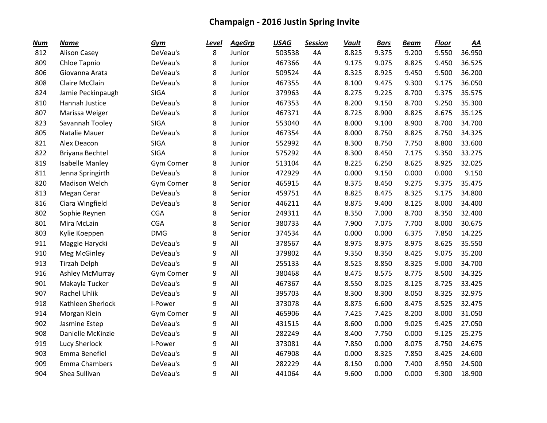| <b>Num</b> | <b>Name</b>            | Gym         | <u>Level</u> | <b>AgeGrp</b> | <b>USAG</b> | <b>Session</b> | <b>Vault</b> | <b>Bars</b> | <b>Beam</b> | <b>Floor</b> | <u>AA</u> |
|------------|------------------------|-------------|--------------|---------------|-------------|----------------|--------------|-------------|-------------|--------------|-----------|
| 812        | <b>Alison Casey</b>    | DeVeau's    | 8            | Junior        | 503538      | 4A             | 8.825        | 9.375       | 9.200       | 9.550        | 36.950    |
| 809        | Chloe Tapnio           | DeVeau's    | 8            | Junior        | 467366      | 4A             | 9.175        | 9.075       | 8.825       | 9.450        | 36.525    |
| 806        | Giovanna Arata         | DeVeau's    | 8            | Junior        | 509524      | 4A             | 8.325        | 8.925       | 9.450       | 9.500        | 36.200    |
| 808        | Claire McClain         | DeVeau's    | 8            | Junior        | 467355      | 4A             | 8.100        | 9.475       | 9.300       | 9.175        | 36.050    |
| 824        | Jamie Peckinpaugh      | <b>SIGA</b> | 8            | Junior        | 379963      | 4A             | 8.275        | 9.225       | 8.700       | 9.375        | 35.575    |
| 810        | Hannah Justice         | DeVeau's    | 8            | Junior        | 467353      | 4A             | 8.200        | 9.150       | 8.700       | 9.250        | 35.300    |
| 807        | Marissa Weiger         | DeVeau's    | 8            | Junior        | 467371      | 4A             | 8.725        | 8.900       | 8.825       | 8.675        | 35.125    |
| 823        | Savannah Tooley        | <b>SIGA</b> | 8            | Junior        | 553040      | 4A             | 8.000        | 9.100       | 8.900       | 8.700        | 34.700    |
| 805        | Natalie Mauer          | DeVeau's    | 8            | Junior        | 467354      | 4A             | 8.000        | 8.750       | 8.825       | 8.750        | 34.325    |
| 821        | Alex Deacon            | <b>SIGA</b> | 8            | Junior        | 552992      | 4A             | 8.300        | 8.750       | 7.750       | 8.800        | 33.600    |
| 822        | Briyana Bechtel        | <b>SIGA</b> | 8            | Junior        | 575292      | 4A             | 8.300        | 8.450       | 7.175       | 9.350        | 33.275    |
| 819        | <b>Isabelle Manley</b> | Gym Corner  | 8            | Junior        | 513104      | 4A             | 8.225        | 6.250       | 8.625       | 8.925        | 32.025    |
| 811        | Jenna Springirth       | DeVeau's    | 8            | Junior        | 472929      | 4A             | 0.000        | 9.150       | 0.000       | 0.000        | 9.150     |
| 820        | <b>Madison Welch</b>   | Gym Corner  | 8            | Senior        | 465915      | 4A             | 8.375        | 8.450       | 9.275       | 9.375        | 35.475    |
| 813        | Megan Cerar            | DeVeau's    | 8            | Senior        | 459751      | 4A             | 8.825        | 8.475       | 8.325       | 9.175        | 34.800    |
| 816        | Ciara Wingfield        | DeVeau's    | 8            | Senior        | 446211      | 4A             | 8.875        | 9.400       | 8.125       | 8.000        | 34.400    |
| 802        | Sophie Reynen          | <b>CGA</b>  | 8            | Senior        | 249311      | 4A             | 8.350        | 7.000       | 8.700       | 8.350        | 32.400    |
| 801        | Mira McLain            | <b>CGA</b>  | 8            | Senior        | 380733      | 4A             | 7.900        | 7.075       | 7.700       | 8.000        | 30.675    |
| 803        | Kylie Koeppen          | <b>DMG</b>  | 8            | Senior        | 374534      | 4A             | 0.000        | 0.000       | 6.375       | 7.850        | 14.225    |
| 911        | Maggie Harycki         | DeVeau's    | 9            | All           | 378567      | 4A             | 8.975        | 8.975       | 8.975       | 8.625        | 35.550    |
| 910        | Meg McGinley           | DeVeau's    | 9            | All           | 379802      | 4A             | 9.350        | 8.350       | 8.425       | 9.075        | 35.200    |
| 913        | <b>Tirzah Delph</b>    | DeVeau's    | 9            | All           | 255133      | 4A             | 8.525        | 8.850       | 8.325       | 9.000        | 34.700    |
| 916        | Ashley McMurray        | Gym Corner  | 9            | All           | 380468      | 4A             | 8.475        | 8.575       | 8.775       | 8.500        | 34.325    |
| 901        | Makayla Tucker         | DeVeau's    | 9            | All           | 467367      | 4A             | 8.550        | 8.025       | 8.125       | 8.725        | 33.425    |
| 907        | Rachel Uhlik           | DeVeau's    | 9            | All           | 395703      | 4A             | 8.300        | 8.300       | 8.050       | 8.325        | 32.975    |
| 918        | Kathleen Sherlock      | I-Power     | 9            | All           | 373078      | 4A             | 8.875        | 6.600       | 8.475       | 8.525        | 32.475    |
| 914        | Morgan Klein           | Gym Corner  | 9            | All           | 465906      | 4A             | 7.425        | 7.425       | 8.200       | 8.000        | 31.050    |
| 902        | Jasmine Estep          | DeVeau's    | 9            | All           | 431515      | 4A             | 8.600        | 0.000       | 9.025       | 9.425        | 27.050    |
| 908        | Danielle McKinzie      | DeVeau's    | 9            | All           | 282249      | 4A             | 8.400        | 7.750       | 0.000       | 9.125        | 25.275    |
| 919        | Lucy Sherlock          | I-Power     | 9            | All           | 373081      | 4A             | 7.850        | 0.000       | 8.075       | 8.750        | 24.675    |
| 903        | Emma Benefiel          | DeVeau's    | 9            | All           | 467908      | 4A             | 0.000        | 8.325       | 7.850       | 8.425        | 24.600    |
| 909        | Emma Chambers          | DeVeau's    | 9            | All           | 282229      | 4A             | 8.150        | 0.000       | 7.400       | 8.950        | 24.500    |
| 904        | Shea Sullivan          | DeVeau's    | 9            | All           | 441064      | 4A             | 9.600        | 0.000       | 0.000       | 9.300        | 18.900    |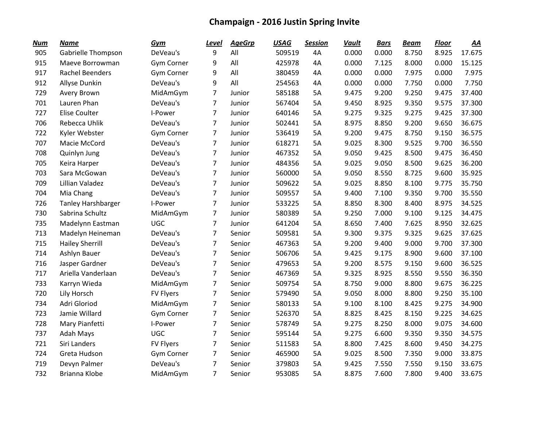| <b>Num</b> | Name                      | Gym              | Level          | <b>AgeGrp</b> | <b>USAG</b> | <b>Session</b> | <b>Vault</b> | <b>Bars</b> | <b>Beam</b> | <b>Floor</b> | <u>AA</u> |
|------------|---------------------------|------------------|----------------|---------------|-------------|----------------|--------------|-------------|-------------|--------------|-----------|
| 905        | Gabrielle Thompson        | DeVeau's         | 9              | All           | 509519      | 4A             | 0.000        | 0.000       | 8.750       | 8.925        | 17.675    |
| 915        | Maeve Borrowman           | Gym Corner       | 9              | All           | 425978      | 4A             | 0.000        | 7.125       | 8.000       | 0.000        | 15.125    |
| 917        | <b>Rachel Beenders</b>    | Gym Corner       | 9              | All           | 380459      | 4A             | 0.000        | 0.000       | 7.975       | 0.000        | 7.975     |
| 912        | Allyse Dunkin             | DeVeau's         | 9              | All           | 254563      | 4A             | 0.000        | 0.000       | 7.750       | 0.000        | 7.750     |
| 729        | Avery Brown               | MidAmGym         | 7              | Junior        | 585188      | 5A             | 9.475        | 9.200       | 9.250       | 9.475        | 37.400    |
| 701        | Lauren Phan               | DeVeau's         | $\overline{7}$ | Junior        | 567404      | 5A             | 9.450        | 8.925       | 9.350       | 9.575        | 37.300    |
| 727        | <b>Elise Coulter</b>      | I-Power          | 7              | Junior        | 640146      | 5A             | 9.275        | 9.325       | 9.275       | 9.425        | 37.300    |
| 706        | Rebecca Uhlik             | DeVeau's         | 7              | Junior        | 502441      | 5A             | 8.975        | 8.850       | 9.200       | 9.650        | 36.675    |
| 722        | Kyler Webster             | Gym Corner       | $\overline{7}$ | Junior        | 536419      | 5A             | 9.200        | 9.475       | 8.750       | 9.150        | 36.575    |
| 707        | Macie McCord              | DeVeau's         | $\overline{7}$ | Junior        | 618271      | 5A             | 9.025        | 8.300       | 9.525       | 9.700        | 36.550    |
| 708        | Quinlyn Jung              | DeVeau's         | $\overline{7}$ | Junior        | 467352      | 5A             | 9.050        | 9.425       | 8.500       | 9.475        | 36.450    |
| 705        | Keira Harper              | DeVeau's         | 7              | Junior        | 484356      | 5A             | 9.025        | 9.050       | 8.500       | 9.625        | 36.200    |
| 703        | Sara McGowan              | DeVeau's         | $\overline{7}$ | Junior        | 560000      | <b>5A</b>      | 9.050        | 8.550       | 8.725       | 9.600        | 35.925    |
| 709        | Lillian Valadez           | DeVeau's         | 7              | Junior        | 509622      | 5A             | 9.025        | 8.850       | 8.100       | 9.775        | 35.750    |
| 704        | Mia Chang                 | DeVeau's         | 7              | Junior        | 509557      | 5A             | 9.400        | 7.100       | 9.350       | 9.700        | 35.550    |
| 726        | <b>Tanley Harshbarger</b> | I-Power          | 7              | Junior        | 533225      | 5A             | 8.850        | 8.300       | 8.400       | 8.975        | 34.525    |
| 730        | Sabrina Schultz           | MidAmGym         | $\overline{7}$ | Junior        | 580389      | 5A             | 9.250        | 7.000       | 9.100       | 9.125        | 34.475    |
| 735        | Madelynn Eastman          | <b>UGC</b>       | 7              | Junior        | 641204      | <b>5A</b>      | 8.650        | 7.400       | 7.625       | 8.950        | 32.625    |
| 713        | Madelyn Heineman          | DeVeau's         | $\overline{7}$ | Senior        | 509581      | 5A             | 9.300        | 9.375       | 9.325       | 9.625        | 37.625    |
| 715        | <b>Hailey Sherrill</b>    | DeVeau's         | 7              | Senior        | 467363      | 5A             | 9.200        | 9.400       | 9.000       | 9.700        | 37.300    |
| 714        | Ashlyn Bauer              | DeVeau's         | $\overline{7}$ | Senior        | 506706      | <b>5A</b>      | 9.425        | 9.175       | 8.900       | 9.600        | 37.100    |
| 716        | Jasper Gardner            | DeVeau's         | 7              | Senior        | 479653      | 5A             | 9.200        | 8.575       | 9.150       | 9.600        | 36.525    |
| 717        | Ariella Vanderlaan        | DeVeau's         | 7              | Senior        | 467369      | <b>5A</b>      | 9.325        | 8.925       | 8.550       | 9.550        | 36.350    |
| 733        | Karryn Wieda              | MidAmGym         | 7              | Senior        | 509754      | 5A             | 8.750        | 9.000       | 8.800       | 9.675        | 36.225    |
| 720        | Lily Horsch               | <b>FV Flyers</b> | 7              | Senior        | 579490      | 5A             | 9.050        | 8.000       | 8.800       | 9.250        | 35.100    |
| 734        | Adri Gloriod              | MidAmGym         | 7              | Senior        | 580133      | 5A             | 9.100        | 8.100       | 8.425       | 9.275        | 34.900    |
| 723        | Jamie Willard             | Gym Corner       | 7              | Senior        | 526370      | 5A             | 8.825        | 8.425       | 8.150       | 9.225        | 34.625    |
| 728        | Mary Pianfetti            | I-Power          | 7              | Senior        | 578749      | <b>5A</b>      | 9.275        | 8.250       | 8.000       | 9.075        | 34.600    |
| 737        | Adah Mays                 | <b>UGC</b>       | $\overline{7}$ | Senior        | 595144      | 5A             | 9.275        | 6.600       | 9.350       | 9.350        | 34.575    |
| 721        | Siri Landers              | <b>FV Flyers</b> | $\overline{7}$ | Senior        | 511583      | 5A             | 8.800        | 7.425       | 8.600       | 9.450        | 34.275    |
| 724        | Greta Hudson              | Gym Corner       | 7              | Senior        | 465900      | <b>5A</b>      | 9.025        | 8.500       | 7.350       | 9.000        | 33.875    |
| 719        | Devyn Palmer              | DeVeau's         | 7              | Senior        | 379803      | 5A             | 9.425        | 7.550       | 7.550       | 9.150        | 33.675    |
| 732        | Brianna Klobe             | MidAmGym         | 7              | Senior        | 953085      | <b>5A</b>      | 8.875        | 7.600       | 7.800       | 9.400        | 33.675    |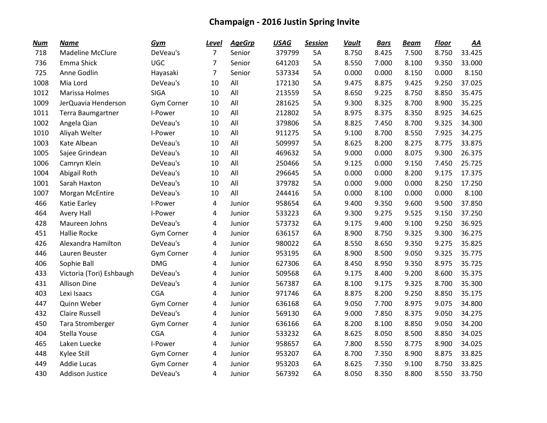| <b>Num</b> | <b>Name</b>              | <b>Gym</b>        | <u>Level</u>   | <b>AgeGrp</b> | <b>USAG</b> | <b>Session</b> | <b>Vault</b> | <b>Bars</b> | <b>Beam</b> | <b>Floor</b> | AA     |
|------------|--------------------------|-------------------|----------------|---------------|-------------|----------------|--------------|-------------|-------------|--------------|--------|
| 718        | <b>Madeline McClure</b>  | DeVeau's          | $\overline{7}$ | Senior        | 379799      | 5A             | 8.750        | 8.425       | 7.500       | 8.750        | 33.425 |
| 736        | Emma Shick               | <b>UGC</b>        | 7              | Senior        | 641203      | 5A             | 8.550        | 7.000       | 8.100       | 9.350        | 33.000 |
| 725        | Anne Godlin              | Hayasaki          | $\overline{7}$ | Senior        | 537334      | <b>5A</b>      | 0.000        | 0.000       | 8.150       | 0.000        | 8.150  |
| 1008       | Mia Lord                 | DeVeau's          | 10             | All           | 172130      | 5A             | 9.475        | 8.875       | 9.425       | 9.250        | 37.025 |
| 1012       | Marissa Holmes           | <b>SIGA</b>       | 10             | All           | 213559      | 5A             | 8.650        | 9.225       | 8.750       | 8.850        | 35.475 |
| 1009       | JerQuavia Henderson      | Gym Corner        | 10             | All           | 281625      | 5A             | 9.300        | 8.325       | 8.700       | 8.900        | 35.225 |
| 1011       | Terra Baumgartner        | I-Power           | 10             | All           | 212802      | 5A             | 8.975        | 8.375       | 8.350       | 8.925        | 34.625 |
| 1002       | Angela Qian              | DeVeau's          | 10             | All           | 379806      | <b>5A</b>      | 8.825        | 7.450       | 8.700       | 9.325        | 34.300 |
| 1010       | Aliyah Welter            | I-Power           | 10             | All           | 911275      | 5A             | 9.100        | 8.700       | 8.550       | 7.925        | 34.275 |
| 1003       | Kate Albean              | DeVeau's          | 10             | All           | 509997      | <b>5A</b>      | 8.625        | 8.200       | 8.275       | 8.775        | 33.875 |
| 1005       | Sajee Grindean           | DeVeau's          | 10             | All           | 469632      | 5A             | 9.000        | 0.000       | 8.075       | 9.300        | 26.375 |
| 1006       | Camryn Klein             | DeVeau's          | 10             | All           | 250466      | <b>5A</b>      | 9.125        | 0.000       | 9.150       | 7.450        | 25.725 |
| 1004       | Abigail Roth             | DeVeau's          | 10             | All           | 296645      | <b>5A</b>      | 0.000        | 0.000       | 8.200       | 9.175        | 17.375 |
| 1001       | Sarah Haxton             | DeVeau's          | 10             | All           | 379782      | 5A             | 0.000        | 9.000       | 0.000       | 8.250        | 17.250 |
| 1007       | Morgan McEntire          | DeVeau's          | 10             | All           | 244416      | 5A             | 0.000        | 8.100       | 0.000       | 0.000        | 8.100  |
| 466        | Katie Earley             | I-Power           | 4              | Junior        | 958654      | 6A             | 9.400        | 9.350       | 9.600       | 9.500        | 37.850 |
| 464        | Avery Hall               | I-Power           | 4              | Junior        | 533223      | 6A             | 9.300        | 9.275       | 9.525       | 9.150        | 37.250 |
| 428        | Maureen Johns            | DeVeau's          | 4              | Junior        | 573732      | 6A             | 9.175        | 9.400       | 9.100       | 9.250        | 36.925 |
| 451        | <b>Hallie Rocke</b>      | <b>Gym Corner</b> | 4              | Junior        | 636157      | 6A             | 8.900        | 8.750       | 9.325       | 9.300        | 36.275 |
| 426        | Alexandra Hamilton       | DeVeau's          | 4              | Junior        | 980022      | 6A             | 8.550        | 8.650       | 9.350       | 9.275        | 35.825 |
| 446        | Lauren Beuster           | Gym Corner        | 4              | Junior        | 953195      | 6A             | 8.900        | 8.500       | 9.050       | 9.325        | 35.775 |
| 406        | Sophie Ball              | <b>DMG</b>        | 4              | Junior        | 627306      | 6A             | 8.450        | 8.950       | 9.350       | 8.975        | 35.725 |
| 433        | Victoria (Tori) Eshbaugh | DeVeau's          | 4              | Junior        | 509568      | 6A             | 9.175        | 8.400       | 9.200       | 8.600        | 35.375 |
| 431        | <b>Allison Dine</b>      | DeVeau's          | 4              | Junior        | 567387      | 6A             | 8.100        | 9.175       | 9.325       | 8.700        | 35.300 |
| 403        | Lexi Isaacs              | <b>CGA</b>        | 4              | Junior        | 971746      | 6A             | 8.875        | 8.200       | 9.250       | 8.850        | 35.175 |
| 447        | Quinn Weber              | <b>Gym Corner</b> | 4              | Junior        | 636168      | 6A             | 9.050        | 7.700       | 8.975       | 9.075        | 34.800 |
| 432        | <b>Claire Russell</b>    | DeVeau's          | 4              | Junior        | 569130      | 6A             | 9.000        | 7.850       | 8.375       | 9.050        | 34.275 |
| 450        | Tara Stromberger         | Gym Corner        | 4              | Junior        | 636166      | 6A             | 8.200        | 8.100       | 8.850       | 9.050        | 34.200 |
| 404        | Stella Youse             | <b>CGA</b>        | 4              | Junior        | 533232      | 6A             | 8.625        | 8.050       | 8.500       | 8.850        | 34.025 |
| 465        | Laken Luecke             | I-Power           | 4              | Junior        | 958657      | 6A             | 7.800        | 8.550       | 8.775       | 8.900        | 34.025 |
| 448        | Kylee Still              | Gym Corner        | 4              | Junior        | 953207      | 6A             | 8.700        | 7.350       | 8.900       | 8.875        | 33.825 |
| 449        | <b>Addie Lucas</b>       | Gym Corner        | 4              | Junior        | 953203      | 6A             | 8.625        | 7.350       | 9.100       | 8.750        | 33.825 |
| 430        | <b>Addison Justice</b>   | DeVeau's          | 4              | Junior        | 567392      | 6A             | 8.050        | 8.350       | 8.800       | 8.550        | 33.750 |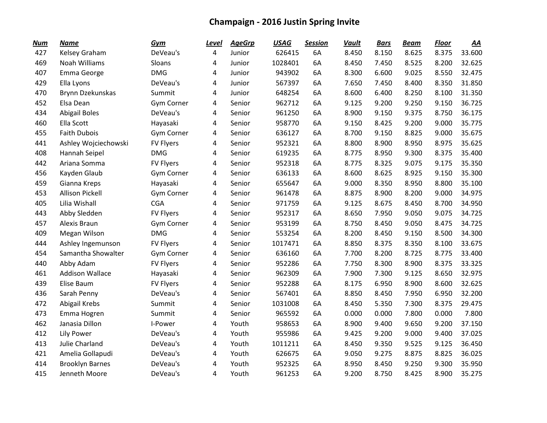| <b>Num</b> | <b>Name</b>            | Gym               | <u>Level</u> | <b>AgeGrp</b> | <b>USAG</b> | <b>Session</b> | <b>Vault</b> | <b>Bars</b> | <b>Beam</b> | <b>Floor</b> | AA     |
|------------|------------------------|-------------------|--------------|---------------|-------------|----------------|--------------|-------------|-------------|--------------|--------|
| 427        | Kelsey Graham          | DeVeau's          | 4            | Junior        | 626415      | 6A             | 8.450        | 8.150       | 8.625       | 8.375        | 33.600 |
| 469        | Noah Williams          | Sloans            | 4            | Junior        | 1028401     | 6A             | 8.450        | 7.450       | 8.525       | 8.200        | 32.625 |
| 407        | Emma George            | <b>DMG</b>        | 4            | Junior        | 943902      | 6A             | 8.300        | 6.600       | 9.025       | 8.550        | 32.475 |
| 429        | Ella Lyons             | DeVeau's          | 4            | Junior        | 567397      | 6A             | 7.650        | 7.450       | 8.400       | 8.350        | 31.850 |
| 470        | Brynn Dzekunskas       | Summit            | 4            | Junior        | 648254      | 6A             | 8.600        | 6.400       | 8.250       | 8.100        | 31.350 |
| 452        | Elsa Dean              | Gym Corner        | 4            | Senior        | 962712      | 6A             | 9.125        | 9.200       | 9.250       | 9.150        | 36.725 |
| 434        | <b>Abigail Boles</b>   | DeVeau's          | 4            | Senior        | 961250      | 6A             | 8.900        | 9.150       | 9.375       | 8.750        | 36.175 |
| 460        | Ella Scott             | Hayasaki          | 4            | Senior        | 958770      | 6A             | 9.150        | 8.425       | 9.200       | 9.000        | 35.775 |
| 455        | <b>Faith Dubois</b>    | <b>Gym Corner</b> | 4            | Senior        | 636127      | 6A             | 8.700        | 9.150       | 8.825       | 9.000        | 35.675 |
| 441        | Ashley Wojciechowski   | <b>FV Flyers</b>  | 4            | Senior        | 952321      | 6A             | 8.800        | 8.900       | 8.950       | 8.975        | 35.625 |
| 408        | Hannah Seipel          | <b>DMG</b>        | 4            | Senior        | 619235      | 6A             | 8.775        | 8.950       | 9.300       | 8.375        | 35.400 |
| 442        | Ariana Somma           | <b>FV Flyers</b>  | 4            | Senior        | 952318      | 6A             | 8.775        | 8.325       | 9.075       | 9.175        | 35.350 |
| 456        | Kayden Glaub           | Gym Corner        | 4            | Senior        | 636133      | 6A             | 8.600        | 8.625       | 8.925       | 9.150        | 35.300 |
| 459        | Gianna Kreps           | Hayasaki          | 4            | Senior        | 655647      | 6A             | 9.000        | 8.350       | 8.950       | 8.800        | 35.100 |
| 453        | <b>Allison Pickell</b> | Gym Corner        | 4            | Senior        | 961478      | 6A             | 8.875        | 8.900       | 8.200       | 9.000        | 34.975 |
| 405        | Lilia Wishall          | <b>CGA</b>        | 4            | Senior        | 971759      | 6A             | 9.125        | 8.675       | 8.450       | 8.700        | 34.950 |
| 443        | Abby Sledden           | <b>FV Flyers</b>  | 4            | Senior        | 952317      | 6A             | 8.650        | 7.950       | 9.050       | 9.075        | 34.725 |
| 457        | Alexis Braun           | Gym Corner        | 4            | Senior        | 953199      | 6A             | 8.750        | 8.450       | 9.050       | 8.475        | 34.725 |
| 409        | Megan Wilson           | <b>DMG</b>        | 4            | Senior        | 553254      | 6A             | 8.200        | 8.450       | 9.150       | 8.500        | 34.300 |
| 444        | Ashley Ingemunson      | <b>FV Flyers</b>  | 4            | Senior        | 1017471     | 6A             | 8.850        | 8.375       | 8.350       | 8.100        | 33.675 |
| 454        | Samantha Showalter     | Gym Corner        | 4            | Senior        | 636160      | 6A             | 7.700        | 8.200       | 8.725       | 8.775        | 33.400 |
| 440        | Abby Adam              | <b>FV Flyers</b>  | 4            | Senior        | 952286      | 6A             | 7.750        | 8.300       | 8.900       | 8.375        | 33.325 |
| 461        | <b>Addison Wallace</b> | Hayasaki          | 4            | Senior        | 962309      | 6A             | 7.900        | 7.300       | 9.125       | 8.650        | 32.975 |
| 439        | Elise Baum             | <b>FV Flyers</b>  | 4            | Senior        | 952288      | 6A             | 8.175        | 6.950       | 8.900       | 8.600        | 32.625 |
| 436        | Sarah Penny            | DeVeau's          | 4            | Senior        | 567401      | 6A             | 8.850        | 8.450       | 7.950       | 6.950        | 32.200 |
| 472        | Abigail Krebs          | Summit            | 4            | Senior        | 1031008     | 6A             | 8.450        | 5.350       | 7.300       | 8.375        | 29.475 |
| 473        | Emma Hogren            | Summit            | 4            | Senior        | 965592      | 6A             | 0.000        | 0.000       | 7.800       | 0.000        | 7.800  |
| 462        | Janasia Dillon         | I-Power           | 4            | Youth         | 958653      | 6A             | 8.900        | 9.400       | 9.650       | 9.200        | 37.150 |
| 412        | Lily Power             | DeVeau's          | 4            | Youth         | 955986      | 6A             | 9.425        | 9.200       | 9.000       | 9.400        | 37.025 |
| 413        | Julie Charland         | DeVeau's          | 4            | Youth         | 1011211     | 6A             | 8.450        | 9.350       | 9.525       | 9.125        | 36.450 |
| 421        | Amelia Gollapudi       | DeVeau's          | 4            | Youth         | 626675      | 6A             | 9.050        | 9.275       | 8.875       | 8.825        | 36.025 |
| 414        | <b>Brooklyn Barnes</b> | DeVeau's          | 4            | Youth         | 952325      | 6A             | 8.950        | 8.450       | 9.250       | 9.300        | 35.950 |
| 415        | Jenneth Moore          | DeVeau's          | 4            | Youth         | 961253      | 6A             | 9.200        | 8.750       | 8.425       | 8.900        | 35.275 |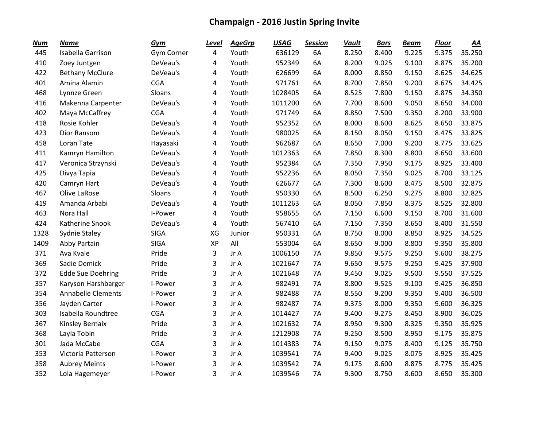| <b>Num</b> | <b>Name</b>               | Gym         | Level | <b>AgeGrp</b> | <b>USAG</b> | <b>Session</b> | <b>Vault</b> | <b>Bars</b> | <b>Beam</b> | <b>Floor</b> | <u>AA</u> |
|------------|---------------------------|-------------|-------|---------------|-------------|----------------|--------------|-------------|-------------|--------------|-----------|
| 445        | Isabella Garrison         | Gym Corner  | 4     | Youth         | 636129      | 6A             | 8.250        | 8.400       | 9.225       | 9.375        | 35.250    |
| 410        | Zoey Juntgen              | DeVeau's    | 4     | Youth         | 952349      | 6A             | 8.200        | 9.025       | 9.100       | 8.875        | 35.200    |
| 422        | <b>Bethany McClure</b>    | DeVeau's    | 4     | Youth         | 626699      | 6A             | 8.000        | 8.850       | 9.150       | 8.625        | 34.625    |
| 401        | Amina Alamin              | <b>CGA</b>  | 4     | Youth         | 971761      | 6A             | 8.700        | 7.850       | 9.200       | 8.675        | 34.425    |
| 468        | Lynnze Green              | Sloans      | 4     | Youth         | 1028405     | 6A             | 8.525        | 7.800       | 9.150       | 8.875        | 34.350    |
| 416        | Makenna Carpenter         | DeVeau's    | 4     | Youth         | 1011200     | 6A             | 7.700        | 8.600       | 9.050       | 8.650        | 34.000    |
| 402        | Maya McCaffrey            | <b>CGA</b>  | 4     | Youth         | 971749      | 6A             | 8.850        | 7.500       | 9.350       | 8.200        | 33.900    |
| 418        | Rosie Kohler              | DeVeau's    | 4     | Youth         | 952352      | 6A             | 8.000        | 8.600       | 8.625       | 8.650        | 33.875    |
| 423        | Dior Ransom               | DeVeau's    | 4     | Youth         | 980025      | 6A             | 8.150        | 8.050       | 9.150       | 8.475        | 33.825    |
| 458        | Loran Tate                | Hayasaki    | 4     | Youth         | 962687      | 6A             | 8.650        | 7.000       | 9.200       | 8.775        | 33.625    |
| 411        | Kamryn Hamilton           | DeVeau's    | 4     | Youth         | 1012363     | 6A             | 7.850        | 8.300       | 8.800       | 8.650        | 33.600    |
| 417        | Veronica Strzynski        | DeVeau's    | 4     | Youth         | 952384      | 6A             | 7.350        | 7.950       | 9.175       | 8.925        | 33.400    |
| 425        | Divya Tapia               | DeVeau's    | 4     | Youth         | 952236      | 6A             | 8.050        | 7.350       | 9.025       | 8.700        | 33.125    |
| 420        | Camryn Hart               | DeVeau's    | 4     | Youth         | 626677      | 6A             | 7.300        | 8.600       | 8.475       | 8.500        | 32.875    |
| 467        | Olive LaRose              | Sloans      | 4     | Youth         | 950330      | 6A             | 8.500        | 6.250       | 9.275       | 8.800        | 32.825    |
| 419        | Amanda Arbabi             | DeVeau's    | 4     | Youth         | 1011263     | 6A             | 8.050        | 7.850       | 8.375       | 8.525        | 32.800    |
| 463        | Nora Hall                 | I-Power     | 4     | Youth         | 958655      | 6A             | 7.150        | 6.600       | 9.150       | 8.700        | 31.600    |
| 424        | Katherine Snook           | DeVeau's    | 4     | Youth         | 567410      | 6A             | 7.150        | 7.350       | 8.650       | 8.400        | 31.550    |
| 1328       | Sydnie Staley             | <b>SIGA</b> | XG    | Junior        | 950331      | 6A             | 8.750        | 8.000       | 8.850       | 8.925        | 34.525    |
| 1409       | Abby Partain              | <b>SIGA</b> | XP    | All           | 553004      | 6A             | 8.650        | 9.000       | 8.800       | 9.350        | 35.800    |
| 371        | Ava Kvale                 | Pride       | 3     | Jr A          | 1006150     | 7A             | 9.850        | 9.575       | 9.250       | 9.600        | 38.275    |
| 369        | Sadie Demick              | Pride       | 3     | Jr A          | 1021647     | 7A             | 9.650        | 9.575       | 9.250       | 9.425        | 37.900    |
| 372        | <b>Edde Sue Doehring</b>  | Pride       | 3     | Jr A          | 1021648     | 7A             | 9.450        | 9.025       | 9.500       | 9.550        | 37.525    |
| 357        | Karyson Harshbarger       | I-Power     | 3     | Jr A          | 982491      | 7A             | 8.800        | 9.525       | 9.100       | 9.425        | 36.850    |
| 354        | <b>Annabelle Clements</b> | I-Power     | 3     | Jr A          | 982488      | 7A             | 8.550        | 9.200       | 9.350       | 9.400        | 36.500    |
| 356        | Jayden Carter             | I-Power     | 3     | Jr A          | 982487      | 7A             | 9.375        | 8.000       | 9.350       | 9.600        | 36.325    |
| 303        | Isabella Roundtree        | <b>CGA</b>  | 3     | Jr A          | 1014427     | 7A             | 9.400        | 9.275       | 8.450       | 8.900        | 36.025    |
| 367        | Kinsley Bernaix           | Pride       | 3     | Jr A          | 1021632     | 7A             | 8.950        | 9.300       | 8.325       | 9.350        | 35.925    |
| 368        | Layla Tobin               | Pride       | 3     | Jr A          | 1212908     | 7A             | 9.250        | 8.500       | 8.950       | 9.175        | 35.875    |
| 301        | Jada McCabe               | <b>CGA</b>  | 3     | Jr A          | 1014383     | 7A             | 9.150        | 9.075       | 8.400       | 9.125        | 35.750    |
| 353        | Victoria Patterson        | I-Power     | 3     | Jr A          | 1039541     | <b>7A</b>      | 9.400        | 9.025       | 8.075       | 8.925        | 35.425    |
| 358        | <b>Aubrey Meints</b>      | I-Power     | 3     | Jr A          | 1039542     | 7A             | 9.175        | 8.600       | 8.875       | 8.775        | 35.425    |
| 352        | Lola Hagemeyer            | I-Power     | 3     | Jr A          | 1039546     | 7A             | 9.300        | 8.750       | 8.600       | 8.650        | 35.300    |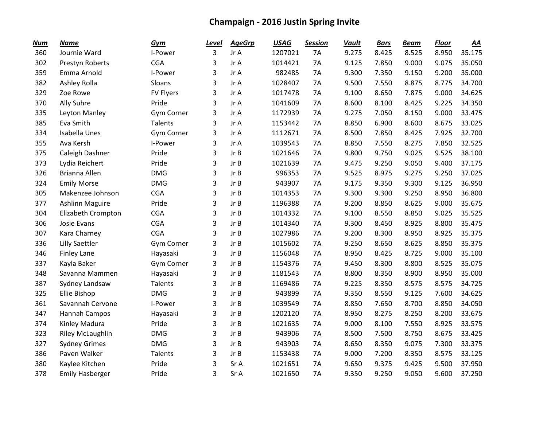| <b>Num</b> | <b>Name</b>             | Gym               | <b>Level</b> | <b>AgeGrp</b> | <b>USAG</b> | <b>Session</b> | <b>Vault</b> | <b>Bars</b> | <b>Beam</b> | <b>Floor</b> | AA     |
|------------|-------------------------|-------------------|--------------|---------------|-------------|----------------|--------------|-------------|-------------|--------------|--------|
| 360        | Journie Ward            | I-Power           | 3            | Jr A          | 1207021     | <b>7A</b>      | 9.275        | 8.425       | 8.525       | 8.950        | 35.175 |
| 302        | Prestyn Roberts         | <b>CGA</b>        | 3            | Jr A          | 1014421     | <b>7A</b>      | 9.125        | 7.850       | 9.000       | 9.075        | 35.050 |
| 359        | Emma Arnold             | I-Power           | 3            | Jr A          | 982485      | 7A             | 9.300        | 7.350       | 9.150       | 9.200        | 35.000 |
| 382        | Ashley Rolla            | Sloans            | 3            | Jr A          | 1028407     | 7A             | 9.500        | 7.550       | 8.875       | 8.775        | 34.700 |
| 329        | Zoe Rowe                | <b>FV Flyers</b>  | 3            | Jr A          | 1017478     | 7A             | 9.100        | 8.650       | 7.875       | 9.000        | 34.625 |
| 370        | Ally Suhre              | Pride             | 3            | Jr A          | 1041609     | 7A             | 8.600        | 8.100       | 8.425       | 9.225        | 34.350 |
| 335        | Leyton Manley           | <b>Gym Corner</b> | 3            | Jr A          | 1172939     | 7A             | 9.275        | 7.050       | 8.150       | 9.000        | 33.475 |
| 385        | Eva Smith               | <b>Talents</b>    | 3            | Jr A          | 1153442     | 7A             | 8.850        | 6.900       | 8.600       | 8.675        | 33.025 |
| 334        | Isabella Unes           | <b>Gym Corner</b> | 3            | Jr A          | 1112671     | 7A             | 8.500        | 7.850       | 8.425       | 7.925        | 32.700 |
| 355        | Ava Kersh               | I-Power           | 3            | Jr A          | 1039543     | 7A             | 8.850        | 7.550       | 8.275       | 7.850        | 32.525 |
| 375        | Caleigh Dashner         | Pride             | 3            | Jr B          | 1021646     | <b>7A</b>      | 9.800        | 9.750       | 9.025       | 9.525        | 38.100 |
| 373        | Lydia Reichert          | Pride             | 3            | Jr B          | 1021639     | 7A             | 9.475        | 9.250       | 9.050       | 9.400        | 37.175 |
| 326        | Brianna Allen           | <b>DMG</b>        | 3            | Jr B          | 996353      | 7A             | 9.525        | 8.975       | 9.275       | 9.250        | 37.025 |
| 324        | <b>Emily Morse</b>      | <b>DMG</b>        | 3            | Jr B          | 943907      | 7A             | 9.175        | 9.350       | 9.300       | 9.125        | 36.950 |
| 305        | Makenzee Johnson        | <b>CGA</b>        | 3            | Jr B          | 1014353     | 7A             | 9.300        | 9.300       | 9.250       | 8.950        | 36.800 |
| 377        | <b>Ashlinn Maguire</b>  | Pride             | 3            | Jr B          | 1196388     | 7A             | 9.200        | 8.850       | 8.625       | 9.000        | 35.675 |
| 304        | Elizabeth Crompton      | <b>CGA</b>        | 3            | Jr B          | 1014332     | 7A             | 9.100        | 8.550       | 8.850       | 9.025        | 35.525 |
| 306        | Josie Evans             | <b>CGA</b>        | 3            | Jr B          | 1014340     | 7A             | 9.300        | 8.450       | 8.925       | 8.800        | 35.475 |
| 307        | Kara Charney            | <b>CGA</b>        | 3            | Jr B          | 1027986     | 7A             | 9.200        | 8.300       | 8.950       | 8.925        | 35.375 |
| 336        | <b>Lilly Saettler</b>   | <b>Gym Corner</b> | 3            | Jr B          | 1015602     | 7A             | 9.250        | 8.650       | 8.625       | 8.850        | 35.375 |
| 346        | <b>Finley Lane</b>      | Hayasaki          | 3            | Jr B          | 1156048     | <b>7A</b>      | 8.950        | 8.425       | 8.725       | 9.000        | 35.100 |
| 337        | Kayla Baker             | Gym Corner        | 3            | Jr B          | 1154376     | 7A             | 9.450        | 8.300       | 8.800       | 8.525        | 35.075 |
| 348        | Savanna Mammen          | Hayasaki          | 3            | Jr B          | 1181543     | 7A             | 8.800        | 8.350       | 8.900       | 8.950        | 35.000 |
| 387        | Sydney Landsaw          | Talents           | 3            | Jr B          | 1169486     | <b>7A</b>      | 9.225        | 8.350       | 8.575       | 8.575        | 34.725 |
| 325        | <b>Ellie Bishop</b>     | <b>DMG</b>        | 3            | Jr B          | 943899      | 7A             | 9.350        | 8.550       | 9.125       | 7.600        | 34.625 |
| 361        | Savannah Cervone        | I-Power           | 3            | Jr B          | 1039549     | 7A             | 8.850        | 7.650       | 8.700       | 8.850        | 34.050 |
| 347        | Hannah Campos           | Hayasaki          | 3            | Jr B          | 1202120     | 7A             | 8.950        | 8.275       | 8.250       | 8.200        | 33.675 |
| 374        | Kinley Madura           | Pride             | 3            | Jr B          | 1021635     | 7A             | 9.000        | 8.100       | 7.550       | 8.925        | 33.575 |
| 323        | <b>Riley McLaughlin</b> | <b>DMG</b>        | 3            | Jr B          | 943906      | 7A             | 8.500        | 7.500       | 8.750       | 8.675        | 33.425 |
| 327        | <b>Sydney Grimes</b>    | <b>DMG</b>        | 3            | Jr B          | 943903      | 7A             | 8.650        | 8.350       | 9.075       | 7.300        | 33.375 |
| 386        | Paven Walker            | <b>Talents</b>    | 3            | Jr B          | 1153438     | <b>7A</b>      | 9.000        | 7.200       | 8.350       | 8.575        | 33.125 |
| 380        | Kaylee Kitchen          | Pride             | 3            | Sr A          | 1021651     | <b>7A</b>      | 9.650        | 9.375       | 9.425       | 9.500        | 37.950 |
| 378        | <b>Emily Hasberger</b>  | Pride             | 3            | Sr A          | 1021650     | 7A             | 9.350        | 9.250       | 9.050       | 9.600        | 37.250 |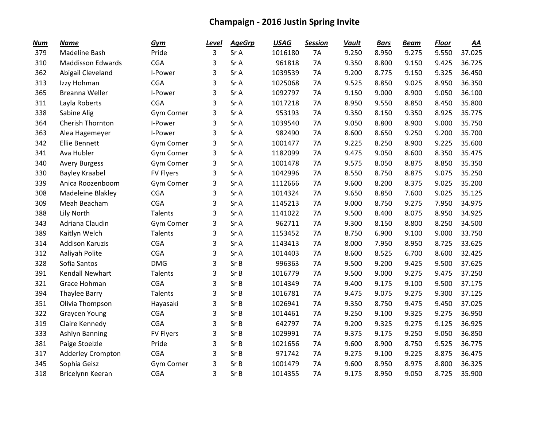| <b>Num</b> | <b>Name</b>              | Gym              | <u>Level</u> | <b>AgeGrp</b> | <b>USAG</b> | <b>Session</b> | <b>Vault</b> | <b>Bars</b> | <b>Beam</b> | <b>Floor</b> | AA     |
|------------|--------------------------|------------------|--------------|---------------|-------------|----------------|--------------|-------------|-------------|--------------|--------|
| 379        | Madeline Bash            | Pride            | 3            | Sr A          | 1016180     | <b>7A</b>      | 9.250        | 8.950       | 9.275       | 9.550        | 37.025 |
| 310        | <b>Maddisson Edwards</b> | <b>CGA</b>       | 3            | Sr A          | 961818      | <b>7A</b>      | 9.350        | 8.800       | 9.150       | 9.425        | 36.725 |
| 362        | Abigail Cleveland        | I-Power          | 3            | Sr A          | 1039539     | 7A             | 9.200        | 8.775       | 9.150       | 9.325        | 36.450 |
| 313        | Izzy Hohman              | <b>CGA</b>       | 3            | Sr A          | 1025068     | 7A             | 9.525        | 8.850       | 9.025       | 8.950        | 36.350 |
| 365        | Breanna Weller           | I-Power          | 3            | Sr A          | 1092797     | 7A             | 9.150        | 9.000       | 8.900       | 9.050        | 36.100 |
| 311        | Layla Roberts            | <b>CGA</b>       | 3            | Sr A          | 1017218     | 7A             | 8.950        | 9.550       | 8.850       | 8.450        | 35.800 |
| 338        | Sabine Alig              | Gym Corner       | 3            | Sr A          | 953193      | 7A             | 9.350        | 8.150       | 9.350       | 8.925        | 35.775 |
| 364        | Cherish Thornton         | I-Power          | 3            | Sr A          | 1039540     | <b>7A</b>      | 9.050        | 8.800       | 8.900       | 9.000        | 35.750 |
| 363        | Alea Hagemeyer           | I-Power          | 3            | Sr A          | 982490      | 7A             | 8.600        | 8.650       | 9.250       | 9.200        | 35.700 |
| 342        | <b>Ellie Bennett</b>     | Gym Corner       | 3            | Sr A          | 1001477     | 7A             | 9.225        | 8.250       | 8.900       | 9.225        | 35.600 |
| 341        | Ava Hubler               | Gym Corner       | 3            | Sr A          | 1182099     | <b>7A</b>      | 9.475        | 9.050       | 8.600       | 8.350        | 35.475 |
| 340        | <b>Avery Burgess</b>     | Gym Corner       | 3            | Sr A          | 1001478     | <b>7A</b>      | 9.575        | 8.050       | 8.875       | 8.850        | 35.350 |
| 330        | <b>Bayley Kraabel</b>    | <b>FV Flyers</b> | 3            | Sr A          | 1042996     | <b>7A</b>      | 8.550        | 8.750       | 8.875       | 9.075        | 35.250 |
| 339        | Anica Roozenboom         | Gym Corner       | 3            | Sr A          | 1112666     | 7A             | 9.600        | 8.200       | 8.375       | 9.025        | 35.200 |
| 308        | Madeleine Blakley        | <b>CGA</b>       | 3            | Sr A          | 1014324     | 7A             | 9.650        | 8.850       | 7.600       | 9.025        | 35.125 |
| 309        | Meah Beacham             | <b>CGA</b>       | 3            | Sr A          | 1145213     | 7A             | 9.000        | 8.750       | 9.275       | 7.950        | 34.975 |
| 388        | Lily North               | Talents          | 3            | Sr A          | 1141022     | <b>7A</b>      | 9.500        | 8.400       | 8.075       | 8.950        | 34.925 |
| 343        | Adriana Claudin          | Gym Corner       | 3            | Sr A          | 962711      | <b>7A</b>      | 9.300        | 8.150       | 8.800       | 8.250        | 34.500 |
| 389        | Kaitlyn Welch            | Talents          | 3            | Sr A          | 1153452     | 7A             | 8.750        | 6.900       | 9.100       | 9.000        | 33.750 |
| 314        | <b>Addison Karuzis</b>   | <b>CGA</b>       | 3            | Sr A          | 1143413     | 7A             | 8.000        | 7.950       | 8.950       | 8.725        | 33.625 |
| 312        | Aaliyah Polite           | <b>CGA</b>       | 3            | Sr A          | 1014403     | <b>7A</b>      | 8.600        | 8.525       | 6.700       | 8.600        | 32.425 |
| 328        | Sofia Santos             | <b>DMG</b>       | 3            | Sr B          | 996363      | <b>7A</b>      | 9.500        | 9.200       | 9.425       | 9.500        | 37.625 |
| 391        | <b>Kendall Newhart</b>   | <b>Talents</b>   | 3            | Sr B          | 1016779     | <b>7A</b>      | 9.500        | 9.000       | 9.275       | 9.475        | 37.250 |
| 321        | Grace Hohman             | <b>CGA</b>       | 3            | Sr B          | 1014349     | 7A             | 9.400        | 9.175       | 9.100       | 9.500        | 37.175 |
| 394        | <b>Thaylee Barry</b>     | <b>Talents</b>   | 3            | Sr B          | 1016781     | 7A             | 9.475        | 9.075       | 9.275       | 9.300        | 37.125 |
| 351        | Olivia Thompson          | Hayasaki         | 3            | Sr B          | 1026941     | <b>7A</b>      | 9.350        | 8.750       | 9.475       | 9.450        | 37.025 |
| 322        | <b>Graycen Young</b>     | <b>CGA</b>       | 3            | Sr B          | 1014461     | <b>7A</b>      | 9.250        | 9.100       | 9.325       | 9.275        | 36.950 |
| 319        | Claire Kennedy           | <b>CGA</b>       | 3            | Sr B          | 642797      | <b>7A</b>      | 9.200        | 9.325       | 9.275       | 9.125        | 36.925 |
| 333        | Ashlyn Banning           | <b>FV Flyers</b> | 3            | Sr B          | 1029991     | 7A             | 9.375        | 9.175       | 9.250       | 9.050        | 36.850 |
| 381        | Paige Stoelzle           | Pride            | 3            | Sr B          | 1021656     | 7A             | 9.600        | 8.900       | 8.750       | 9.525        | 36.775 |
| 317        | <b>Adderley Crompton</b> | <b>CGA</b>       | 3            | Sr B          | 971742      | <b>7A</b>      | 9.275        | 9.100       | 9.225       | 8.875        | 36.475 |
| 345        | Sophia Geisz             | Gym Corner       | 3            | Sr B          | 1001479     | <b>7A</b>      | 9.600        | 8.950       | 8.975       | 8.800        | 36.325 |
| 318        | Bricelynn Keeran         | <b>CGA</b>       | 3            | Sr B          | 1014355     | 7A             | 9.175        | 8.950       | 9.050       | 8.725        | 35.900 |